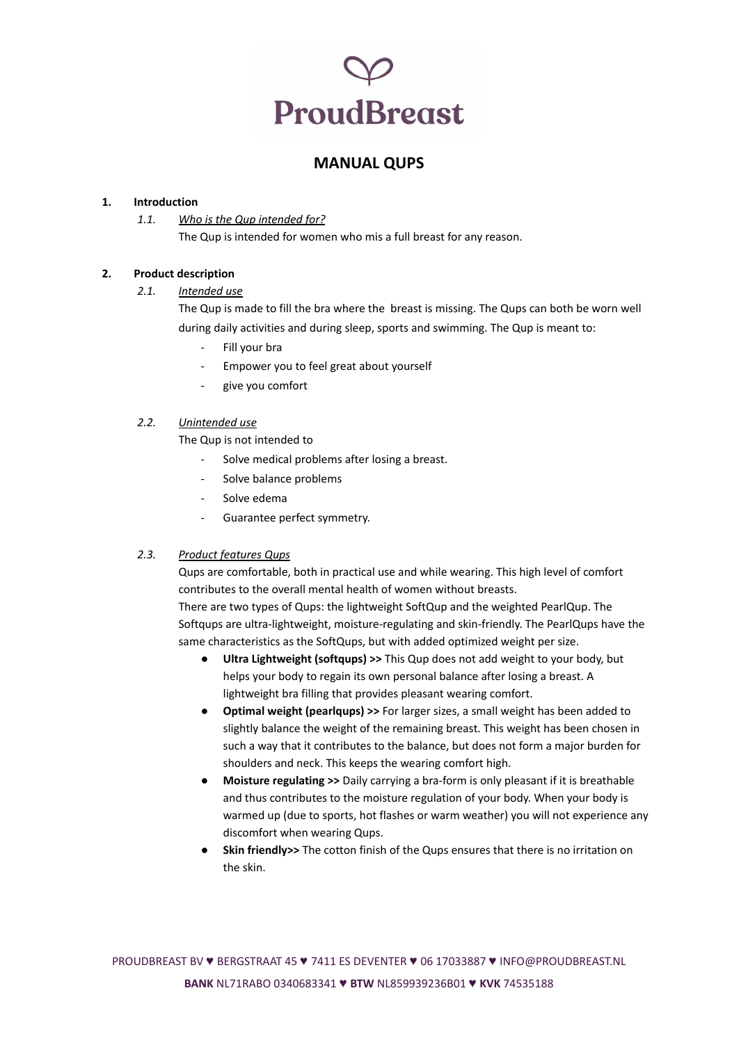## **ProudBreast**

## **MANUAL QUPS**

#### **1. Introduction**

*1.1. Who is the Qup intended for?* The Qup is intended for women who mis a full breast for any reason.

#### **2. Product description**

#### *2.1. Intended use*

The Qup is made to fill the bra where the breast is missing. The Qups can both be worn well during daily activities and during sleep, sports and swimming. The Qup is meant to:

- Fill your bra
- Empower you to feel great about yourself
- give you comfort

#### *2.2. Unintended use*

The Qup is not intended to

- Solve medical problems after losing a breast.
- Solve balance problems
- Solve edema
- Guarantee perfect symmetry.

## *2.3. Product features Qups*

Qups are comfortable, both in practical use and while wearing. This high level of comfort contributes to the overall mental health of women without breasts.

There are two types of Qups: the lightweight SoftQup and the weighted PearlQup. The Softqups are ultra-lightweight, moisture-regulating and skin-friendly. The PearlQups have the same characteristics as the SoftQups, but with added optimized weight per size.

- **● Ultra Lightweight (softqups) >>** This Qup does not add weight to your body, but helps your body to regain its own personal balance after losing a breast. A lightweight bra filling that provides pleasant wearing comfort.
- **● Optimal weight (pearlqups) >>** For larger sizes, a small weight has been added to slightly balance the weight of the remaining breast. This weight has been chosen in such a way that it contributes to the balance, but does not form a major burden for shoulders and neck. This keeps the wearing comfort high.
- **● Moisture regulating >>** Daily carrying a bra-form is only pleasant if it is breathable and thus contributes to the moisture regulation of your body. When your body is warmed up (due to sports, hot flashes or warm weather) you will not experience any discomfort when wearing Qups.
- **● Skin friendly>>** The cotton finish of the Qups ensures that there is no irritation on the skin.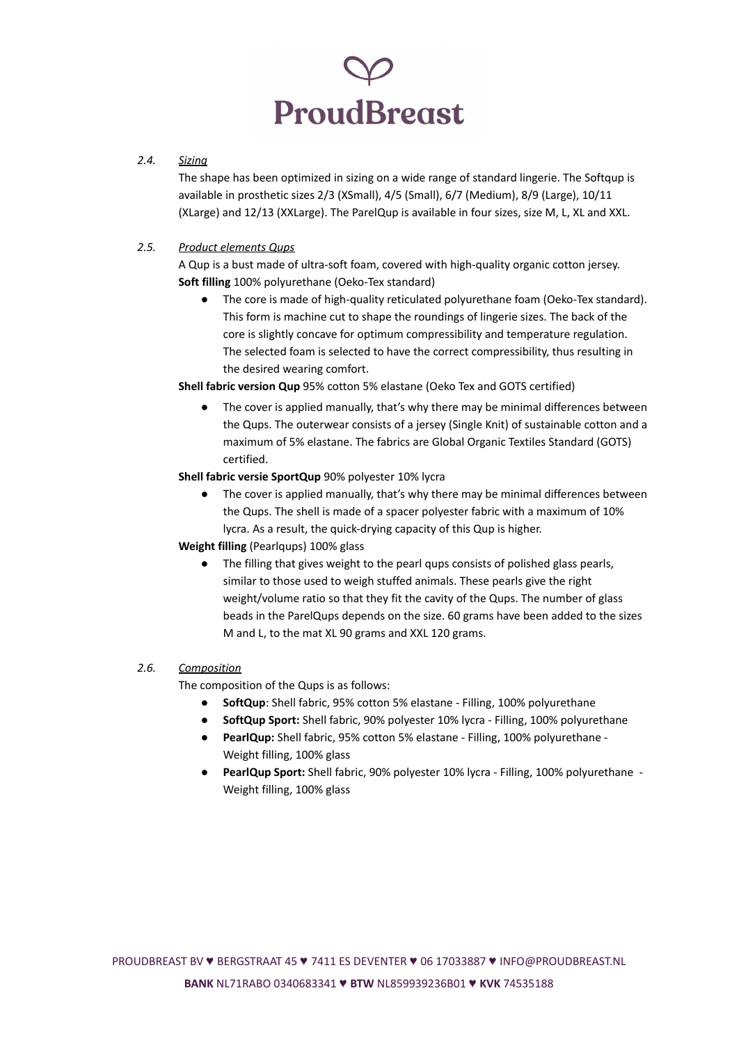# **ProudBreast**

## *2.4. Sizing*

The shape has been optimized in sizing on a wide range of standard lingerie. The Softqup is available in prosthetic sizes 2/3 (XSmall), 4/5 (Small), 6/7 (Medium), 8/9 (Large), 10/11 (XLarge) and 12/13 (XXLarge). The ParelQup is available in four sizes, size M, L, XL and XXL.

## *2.5. Product elements Qups*

A Qup is a bust made of ultra-soft foam, covered with high-quality organic cotton jersey. **Soft filling** 100% polyurethane (Oeko-Tex standard)

● The core is made of high-quality reticulated polyurethane foam (Oeko-Tex standard). This form is machine cut to shape the roundings of lingerie sizes. The back of the core is slightly concave for optimum compressibility and temperature regulation. The selected foam is selected to have the correct compressibility, thus resulting in the desired wearing comfort.

**Shell fabric version Qup** 95% cotton 5% elastane (Oeko Tex and GOTS certified)

● The cover is applied manually, that's why there may be minimal differences between the Qups. The outerwear consists of a jersey (Single Knit) of sustainable cotton and a maximum of 5% elastane. The fabrics are Global Organic Textiles Standard (GOTS) certified.

## **Shell fabric versie SportQup** 90% polyester 10% lycra

● The cover is applied manually, that's why there may be minimal differences between the Qups. The shell is made of a spacer polyester fabric with a maximum of 10% lycra. As a result, the quick-drying capacity of this Qup is higher.

## **Weight filling** (Pearlqups) 100% glass

● The filling that gives weight to the pearl qups consists of polished glass pearls, similar to those used to weigh stuffed animals. These pearls give the right weight/volume ratio so that they fit the cavity of the Qups. The number of glass beads in the ParelQups depends on the size. 60 grams have been added to the sizes M and L, to the mat XL 90 grams and XXL 120 grams.

## *2.6. Composition*

The composition of the Qups is as follows:

- **SoftQup**: Shell fabric, 95% cotton 5% elastane Filling, 100% polyurethane
- **SoftQup Sport:** Shell fabric, 90% polyester 10% lycra Filling, 100% polyurethane
- PearlQup: Shell fabric, 95% cotton 5% elastane Filling, 100% polyurethane -Weight filling, 100% glass
- **PearlQup Sport:** Shell fabric, 90% polyester 10% lycra Filling, 100% polyurethane Weight filling, 100% glass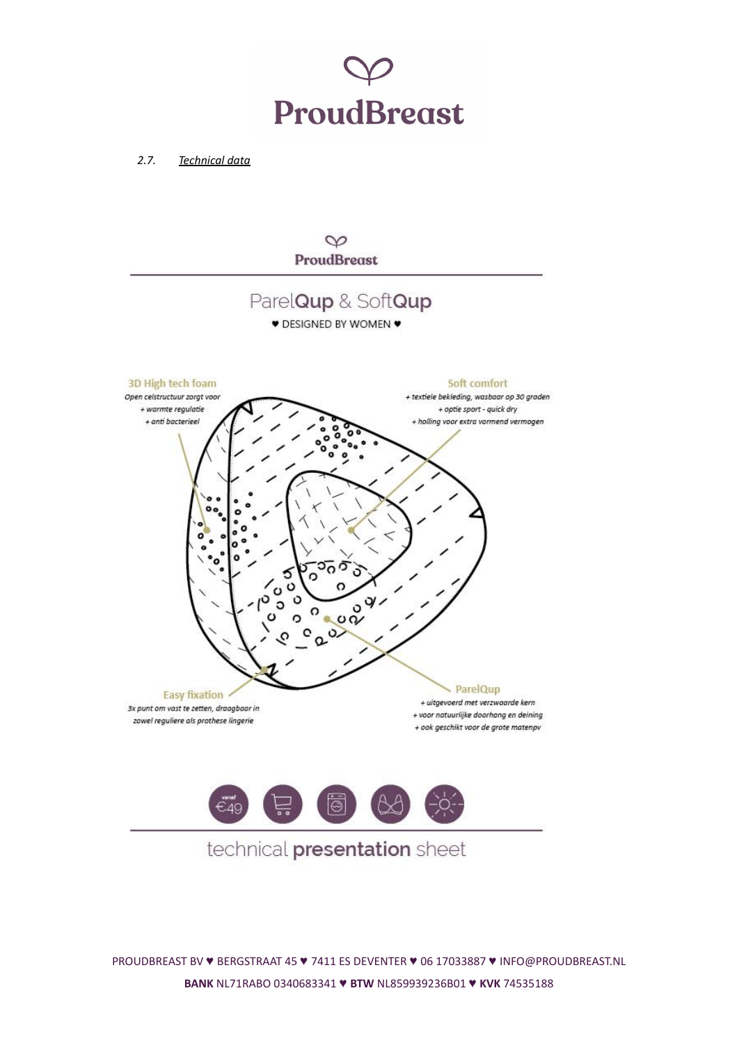

*2.7. Technical data*



PROUDBREAST BV ♥ BERGSTRAAT 45 ♥ 7411 ES DEVENTER ♥ 06 17033887 ♥ [INFO@PROUDBREAST.NL](mailto:INFO@PROUDBREAST.NL) **BANK** NL71RABO 0340683341 ♥ **BTW** NL859939236B01 ♥ **KVK** 74535188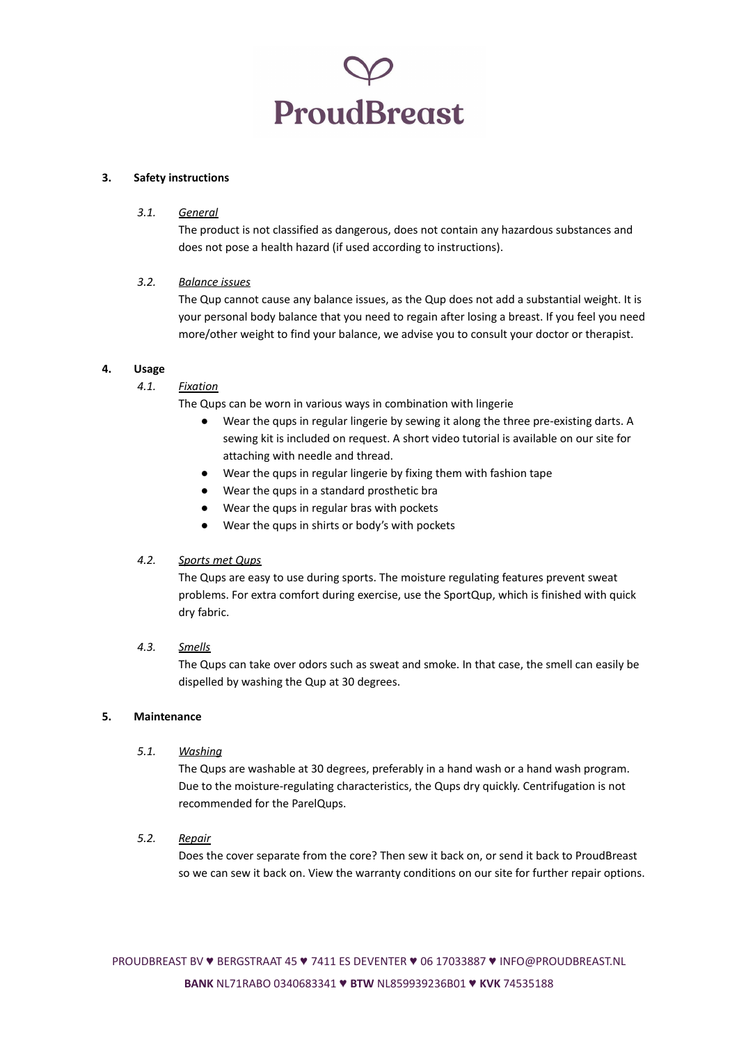

#### **3. Safety instructions**

#### *3.1. General*

The product is not classified as dangerous, does not contain any hazardous substances and does not pose a health hazard (if used according to instructions).

#### *3.2. Balance issues*

The Qup cannot cause any balance issues, as the Qup does not add a substantial weight. It is your personal body balance that you need to regain after losing a breast. If you feel you need more/other weight to find your balance, we advise you to consult your doctor or therapist.

#### **4. Usage**

*4.1. Fixation*

The Qups can be worn in various ways in combination with lingerie

- Wear the qups in regular lingerie by sewing it along the three pre-existing darts. A sewing kit is included on request. A short video tutorial is available on our site for attaching with needle and thread.
- Wear the qups in regular lingerie by fixing them with fashion tape
- Wear the qups in a standard prosthetic bra
- Wear the qups in regular bras with pockets
- Wear the qups in shirts or body's with pockets

#### *4.2. Sports met Qups*

The Qups are easy to use during sports. The moisture regulating features prevent sweat problems. For extra comfort during exercise, use the SportQup, which is finished with quick dry fabric.

## *4.3. Smells*

The Qups can take over odors such as sweat and smoke. In that case, the smell can easily be dispelled by washing the Qup at 30 degrees.

#### **5. Maintenance**

#### *5.1. Washing*

The Qups are washable at 30 degrees, preferably in a hand wash or a hand wash program. Due to the moisture-regulating characteristics, the Qups dry quickly. Centrifugation is not recommended for the ParelQups.

## *5.2. Repair*

Does the cover separate from the core? Then sew it back on, or send it back to ProudBreast so we can sew it back on. View the warranty conditions on our site for further repair options.